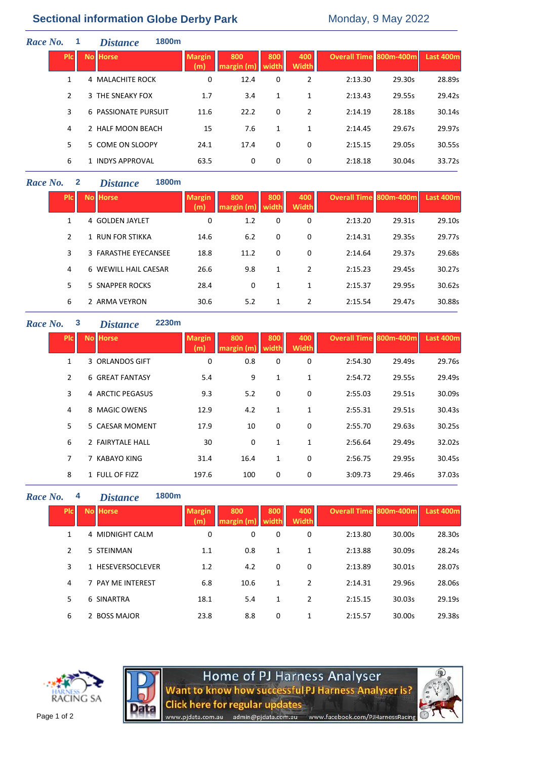# **Sectional information Globe Derby Park** Monday, 9 May 2022

| Race No. |               | <b>Distance</b>             | 1800m |                      |                   |              |                     |                        |        |                  |
|----------|---------------|-----------------------------|-------|----------------------|-------------------|--------------|---------------------|------------------------|--------|------------------|
|          | <b>PIC</b>    | <b>No Horse</b>             |       | <b>Margin</b><br>(m) | 800<br>margin (m) | 800<br>width | 400<br><b>Width</b> | Overall Time 800m-400m |        | <b>Last 400m</b> |
|          | $\mathbf{1}$  | 4 MALACHITE ROCK            |       | 0                    | 12.4              | 0            | 2                   | 2:13.30                | 29.30s | 28.89s           |
|          | $\mathcal{P}$ | 3 THE SNEAKY FOX            |       | 1.7                  | 3.4               | 1            | 1                   | 2:13.43                | 29.55s | 29.42s           |
|          | 3             | <b>6 PASSIONATE PURSUIT</b> |       | 11.6                 | 22.2              | 0            | 2                   | 2:14.19                | 28.18s | 30.14s           |
|          | 4             | 2 HALF MOON BEACH           |       | 15                   | 7.6               | $\mathbf{1}$ | 1                   | 2:14.45                | 29.67s | 29.97s           |
|          | 5             | 5 COME ON SLOOPY            |       | 24.1                 | 17.4              | 0            | 0                   | 2:15.15                | 29.05s | 30.55s           |
|          | 6             | 1 INDYS APPROVAL            |       | 63.5                 | 0                 | 0            | 0                   | 2:18.18                | 30.04s | 33.72s           |

# *Race No.* **2** *Distance* **1800m**

| <b>PIC</b> | <b>No Horse</b>      | <b>Margin</b><br>(m) | 800<br>margin (m | 800      | 400<br><b>Width</b> | <b>Overall Time 800m-400m</b> |        | Last 400m |
|------------|----------------------|----------------------|------------------|----------|---------------------|-------------------------------|--------|-----------|
| 1          | 4 GOLDEN JAYLET      | 0                    | 1.2              | 0        | 0                   | 2:13.20                       | 29.31s | 29.10s    |
| 2          | 1 RUN FOR STIKKA     | 14.6                 | 6.2              | 0        | $\Omega$            | 2:14.31                       | 29.35s | 29.77s    |
| 3          | 3 FARASTHE EYECANSEE | 18.8                 | 11.2             | $\Omega$ | $\Omega$            | 2:14.64                       | 29.37s | 29.68s    |
| 4          | 6 WEWILL HAIL CAESAR | 26.6                 | 9.8              | 1        | $\overline{2}$      | 2:15.23                       | 29.45s | 30.27s    |
| 5          | 5 SNAPPER ROCKS      | 28.4                 | $\Omega$         | 1        | 1                   | 2:15.37                       | 29.95s | 30.62s    |
| 6          | 2 ARMA VEYRON        | 30.6                 | 5.2              | 1        | 2                   | 2:15.54                       | 29.47s | 30.88s    |

### **Race No. 3 Distance**

| $\bm{\rho}$ | 2230m |
|-------------|-------|
|             |       |

| Plc | <b>No Horse</b>        | <b>Margin</b><br>m) | 800<br>$max$ gin (m) | 800<br>width | 400<br><b>Width</b> | <b>Overall Time 800m-400m</b> |        | Last 400m |
|-----|------------------------|---------------------|----------------------|--------------|---------------------|-------------------------------|--------|-----------|
| 1   | 3 ORLANDOS GIFT        | 0                   | 0.8                  | 0            | 0                   | 2:54.30                       | 29.49s | 29.76s    |
| 2   | <b>6 GREAT FANTASY</b> | 5.4                 | 9                    | 1            | 1                   | 2:54.72                       | 29.55s | 29.49s    |
| 3   | 4 ARCTIC PEGASUS       | 9.3                 | 5.2                  | 0            | 0                   | 2:55.03                       | 29.51s | 30.09s    |
| 4   | 8 MAGIC OWENS          | 12.9                | 4.2                  | 1            | 1                   | 2:55.31                       | 29.51s | 30.43s    |
| 5.  | 5 CAESAR MOMENT        | 17.9                | 10                   | 0            | 0                   | 2:55.70                       | 29.63s | 30.25s    |
| 6   | 2 FAIRYTALE HALL       | 30                  | 0                    | 1            | 1                   | 2:56.64                       | 29.49s | 32.02s    |
| 7   | 7 KABAYO KING          | 31.4                | 16.4                 | 1            | 0                   | 2:56.75                       | 29.95s | 30.45s    |
| 8   | 1 FULL OF FIZZ         | 197.6               | 100                  | 0            | 0                   | 3:09.73                       | 29.46s | 37.03s    |

### *Race No.* **4** *Distance* **1800m**

| <b>PIC</b>    | <b>No Horse</b>   | <b>Margin</b><br>(m) | 800<br>margin (m) | 800<br>width | 400<br><b>Width</b> | Overall Time 800m-400m |        | Last 400m |
|---------------|-------------------|----------------------|-------------------|--------------|---------------------|------------------------|--------|-----------|
| 1             | 4 MIDNIGHT CALM   | 0                    | 0                 | 0            | 0                   | 2:13.80                | 30.00s | 28.30s    |
| $\mathcal{P}$ | 5 STEINMAN        | 1.1                  | 0.8               | 1            | 1                   | 2:13.88                | 30.09s | 28.24s    |
| 3             | 1 HESEVERSOCLEVER | 1.2                  | 4.2               | 0            | 0                   | 2:13.89                | 30.01s | 28.07s    |
| 4             | 7 PAY ME INTEREST | 6.8                  | 10.6              | 1            | 2                   | 2:14.31                | 29.96s | 28.06s    |
| 5             | 6 SINARTRA        | 18.1                 | 5.4               | 1            | 2                   | 2:15.15                | 30.03s | 29.19s    |
| 6             | 2 BOSS MAJOR      | 23.8                 | 8.8               | 0            | 1                   | 2:15.57                | 30.00s | 29.38s    |





www.pjdata.com.au

Home of PJ Harness Analyser<br>Want to know how successful PJ Harness Analyser is? **Click here for regular updates** admin@pjdata.com.au www.facebook.com/PJHarnessRacing